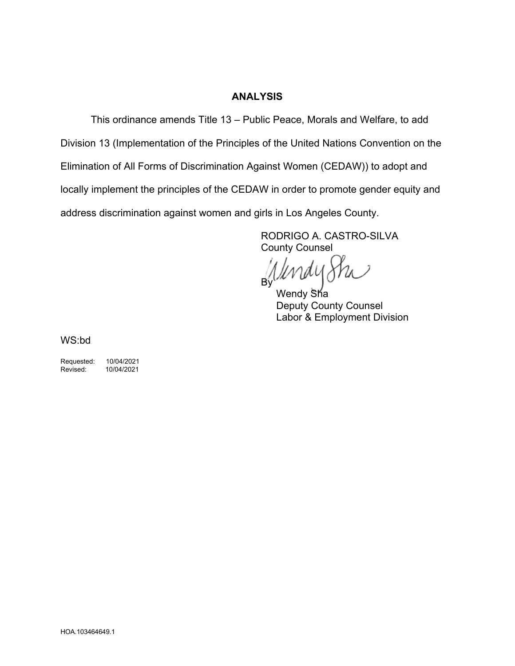### **ANALYSIS**

This ordinance amends Title 13 – Public Peace, Morals and Welfare, to add

Division 13 (Implementation of the Principles of the United Nations Convention on the

Elimination of All Forms of Discrimination Against Women (CEDAW)) to adopt and

locally implement the principles of the CEDAW in order to promote gender equity and

address discrimination against women and girls in Los Angeles County.

RODRIGO A. CASTRO-SILVA County Counsel

By'

Wendy Sha Deputy County Counsel Labor & Employment Division

WS:bd

Requested: 10/04/2021<br>Revised: 10/04/2021

Revised: 10/04/2021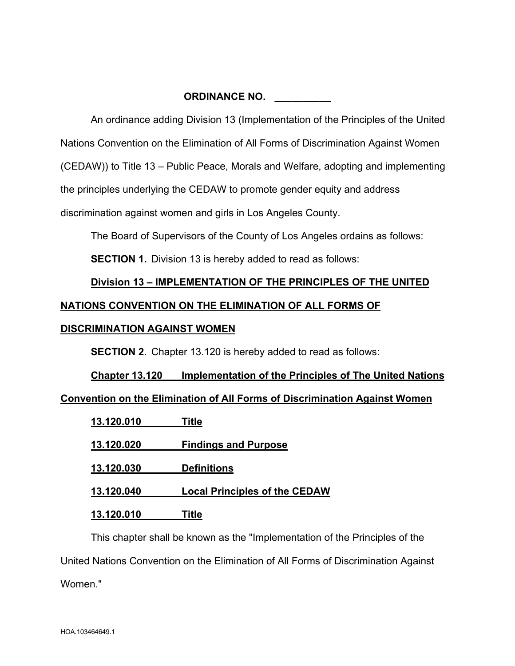## **ORDINANCE NO. \_\_\_\_\_\_\_\_\_\_**

An ordinance adding Division 13 (Implementation of the Principles of the United

Nations Convention on the Elimination of All Forms of Discrimination Against Women

(CEDAW)) to Title 13 – Public Peace, Morals and Welfare, adopting and implementing

the principles underlying the CEDAW to promote gender equity and address

discrimination against women and girls in Los Angeles County.

The Board of Supervisors of the County of Los Angeles ordains as follows:

**SECTION 1.** Division 13 is hereby added to read as follows:

# **Division 13 – IMPLEMENTATION OF THE PRINCIPLES OF THE UNITED NATIONS CONVENTION ON THE ELIMINATION OF ALL FORMS OF**

# **DISCRIMINATION AGAINST WOMEN**

**SECTION 2**. Chapter 13.120 is hereby added to read as follows:

# **Chapter 13.120 Implementation of the Principles of The United Nations Convention on the Elimination of All Forms of Discrimination Against Women**

| 13.120.010 | Title                                |
|------------|--------------------------------------|
| 13.120.020 | <b>Findings and Purpose</b>          |
| 13.120.030 | <b>Definitions</b>                   |
| 13.120.040 | <b>Local Principles of the CEDAW</b> |
| 13.120.010 | Title                                |

This chapter shall be known as the "Implementation of the Principles of the United Nations Convention on the Elimination of All Forms of Discrimination Against Women."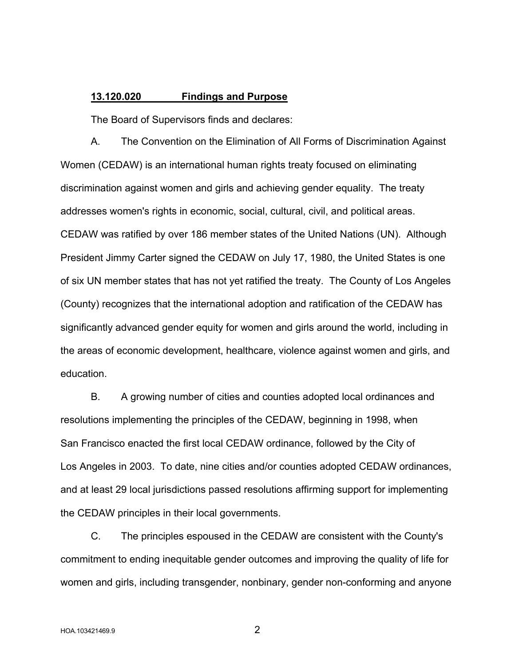### **13.120.020 Findings and Purpose**

The Board of Supervisors finds and declares:

A. The Convention on the Elimination of All Forms of Discrimination Against Women (CEDAW) is an international human rights treaty focused on eliminating discrimination against women and girls and achieving gender equality. The treaty addresses women's rights in economic, social, cultural, civil, and political areas. CEDAW was ratified by over 186 member states of the United Nations (UN). Although President Jimmy Carter signed the CEDAW on July 17, 1980, the United States is one of six UN member states that has not yet ratified the treaty. The County of Los Angeles (County) recognizes that the international adoption and ratification of the CEDAW has significantly advanced gender equity for women and girls around the world, including in the areas of economic development, healthcare, violence against women and girls, and education.

B. A growing number of cities and counties adopted local ordinances and resolutions implementing the principles of the CEDAW, beginning in 1998, when San Francisco enacted the first local CEDAW ordinance, followed by the City of Los Angeles in 2003. To date, nine cities and/or counties adopted CEDAW ordinances, and at least 29 local jurisdictions passed resolutions affirming support for implementing the CEDAW principles in their local governments.

C. The principles espoused in the CEDAW are consistent with the County's commitment to ending inequitable gender outcomes and improving the quality of life for women and girls, including transgender, nonbinary, gender non-conforming and anyone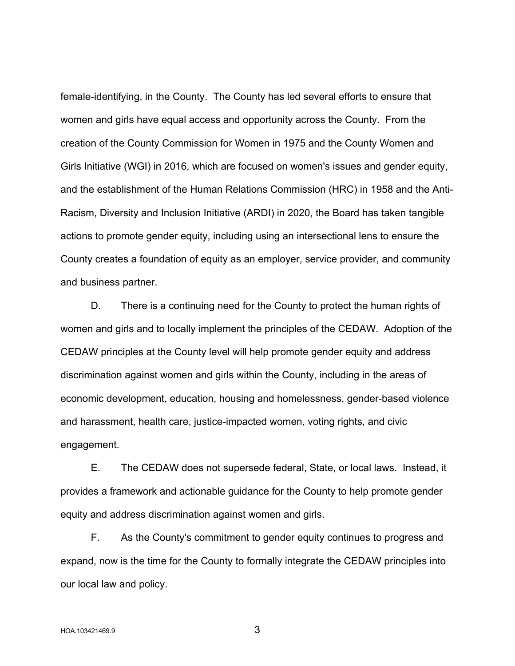female-identifying, in the County. The County has led several efforts to ensure that women and girls have equal access and opportunity across the County. From the creation of the County Commission for Women in 1975 and the County Women and Girls Initiative (WGI) in 2016, which are focused on women's issues and gender equity, and the establishment of the Human Relations Commission (HRC) in 1958 and the Anti-Racism, Diversity and Inclusion Initiative (ARDI) in 2020, the Board has taken tangible actions to promote gender equity, including using an intersectional lens to ensure the County creates a foundation of equity as an employer, service provider, and community and business partner.

D. There is a continuing need for the County to protect the human rights of women and girls and to locally implement the principles of the CEDAW. Adoption of the CEDAW principles at the County level will help promote gender equity and address discrimination against women and girls within the County, including in the areas of economic development, education, housing and homelessness, gender-based violence and harassment, health care, justice-impacted women, voting rights, and civic engagement.

E. The CEDAW does not supersede federal, State, or local laws. Instead, it provides a framework and actionable guidance for the County to help promote gender equity and address discrimination against women and girls.

F. As the County's commitment to gender equity continues to progress and expand, now is the time for the County to formally integrate the CEDAW principles into our local law and policy.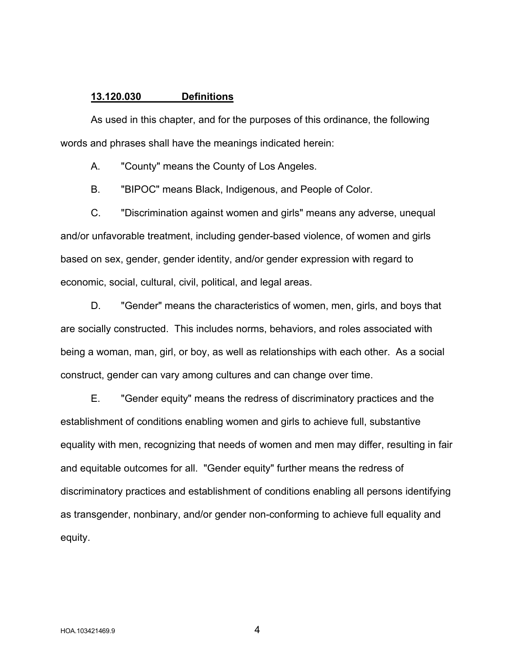#### **13.120.030 Definitions**

As used in this chapter, and for the purposes of this ordinance, the following words and phrases shall have the meanings indicated herein:

A. "County" means the County of Los Angeles.

B. "BIPOC" means Black, Indigenous, and People of Color.

C. "Discrimination against women and girls" means any adverse, unequal and/or unfavorable treatment, including gender-based violence, of women and girls based on sex, gender, gender identity, and/or gender expression with regard to economic, social, cultural, civil, political, and legal areas.

D. "Gender" means the characteristics of women, men, girls, and boys that are socially constructed. This includes norms, behaviors, and roles associated with being a woman, man, girl, or boy, as well as relationships with each other. As a social construct, gender can vary among cultures and can change over time.

E. "Gender equity" means the redress of discriminatory practices and the establishment of conditions enabling women and girls to achieve full, substantive equality with men, recognizing that needs of women and men may differ, resulting in fair and equitable outcomes for all. "Gender equity" further means the redress of discriminatory practices and establishment of conditions enabling all persons identifying as transgender, nonbinary, and/or gender non-conforming to achieve full equality and equity.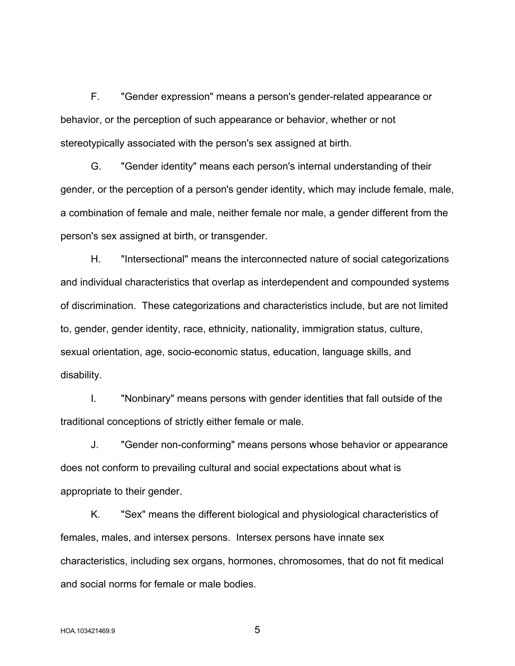F. "Gender expression" means a person's gender-related appearance or behavior, or the perception of such appearance or behavior, whether or not stereotypically associated with the person's sex assigned at birth.

G. "Gender identity" means each person's internal understanding of their gender, or the perception of a person's gender identity, which may include female, male, a combination of female and male, neither female nor male, a gender different from the person's sex assigned at birth, or transgender.

H. "Intersectional" means the interconnected nature of social categorizations and individual characteristics that overlap as interdependent and compounded systems of discrimination. These categorizations and characteristics include, but are not limited to, gender, gender identity, race, ethnicity, nationality, immigration status, culture, sexual orientation, age, socio-economic status, education, language skills, and disability.

I. "Nonbinary" means persons with gender identities that fall outside of the traditional conceptions of strictly either female or male.

J. "Gender non-conforming" means persons whose behavior or appearance does not conform to prevailing cultural and social expectations about what is appropriate to their gender.

K. "Sex" means the different biological and physiological characteristics of females, males, and intersex persons. Intersex persons have innate sex characteristics, including sex organs, hormones, chromosomes, that do not fit medical and social norms for female or male bodies.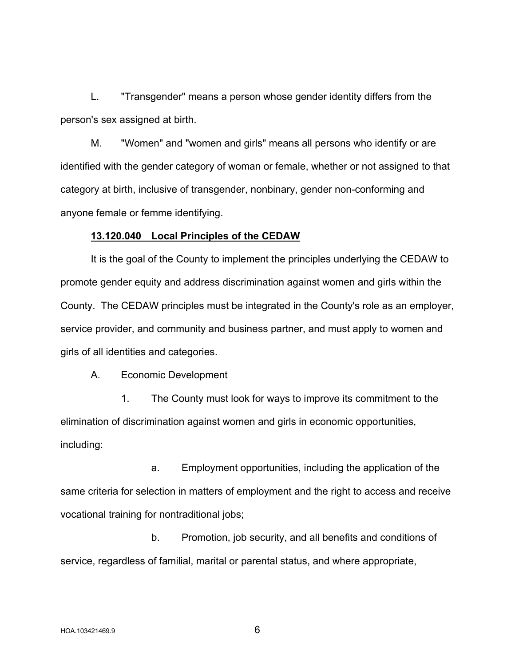L. "Transgender" means a person whose gender identity differs from the person's sex assigned at birth.

M. "Women" and "women and girls" means all persons who identify or are identified with the gender category of woman or female, whether or not assigned to that category at birth, inclusive of transgender, nonbinary, gender non-conforming and anyone female or femme identifying.

### **13.120.040 Local Principles of the CEDAW**

It is the goal of the County to implement the principles underlying the CEDAW to promote gender equity and address discrimination against women and girls within the County. The CEDAW principles must be integrated in the County's role as an employer, service provider, and community and business partner, and must apply to women and girls of all identities and categories.

A. Economic Development

1. The County must look for ways to improve its commitment to the elimination of discrimination against women and girls in economic opportunities, including:

a. Employment opportunities, including the application of the same criteria for selection in matters of employment and the right to access and receive vocational training for nontraditional jobs;

b. Promotion, job security, and all benefits and conditions of service, regardless of familial, marital or parental status, and where appropriate,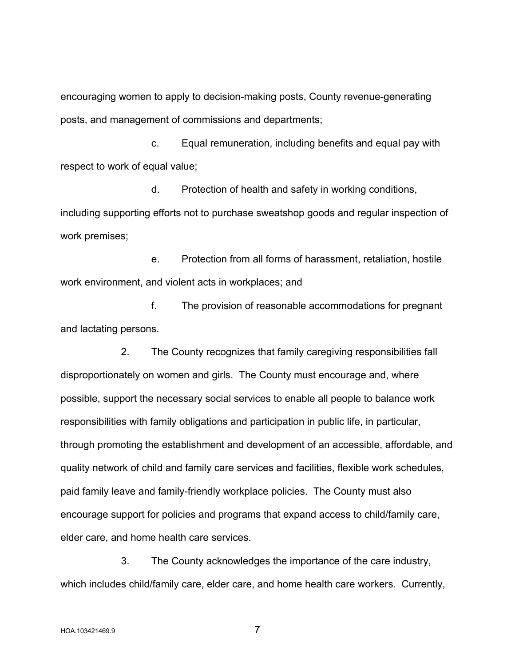encouraging women to apply to decision-making posts, County revenue-generating posts, and management of commissions and departments;

c. Equal remuneration, including benefits and equal pay with respect to work of equal value;

d. Protection of health and safety in working conditions, including supporting efforts not to purchase sweatshop goods and regular inspection of work premises;

e. Protection from all forms of harassment, retaliation, hostile work environment, and violent acts in workplaces; and

f. The provision of reasonable accommodations for pregnant and lactating persons.

2. The County recognizes that family caregiving responsibilities fall disproportionately on women and girls. The County must encourage and, where possible, support the necessary social services to enable all people to balance work responsibilities with family obligations and participation in public life, in particular, through promoting the establishment and development of an accessible, affordable, and quality network of child and family care services and facilities, flexible work schedules, paid family leave and family-friendly workplace policies. The County must also encourage support for policies and programs that expand access to child/family care, elder care, and home health care services.

3. The County acknowledges the importance of the care industry, which includes child/family care, elder care, and home health care workers. Currently,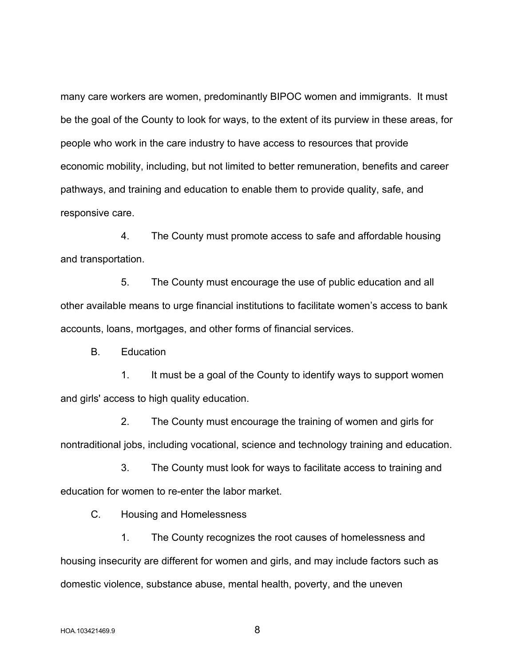many care workers are women, predominantly BIPOC women and immigrants. It must be the goal of the County to look for ways, to the extent of its purview in these areas, for people who work in the care industry to have access to resources that provide economic mobility, including, but not limited to better remuneration, benefits and career pathways, and training and education to enable them to provide quality, safe, and responsive care.

4. The County must promote access to safe and affordable housing and transportation.

5. The County must encourage the use of public education and all other available means to urge financial institutions to facilitate women's access to bank accounts, loans, mortgages, and other forms of financial services.

B. Education

1. It must be a goal of the County to identify ways to support women and girls' access to high quality education.

2. The County must encourage the training of women and girls for nontraditional jobs, including vocational, science and technology training and education.

3. The County must look for ways to facilitate access to training and education for women to re-enter the labor market.

C. Housing and Homelessness

1. The County recognizes the root causes of homelessness and housing insecurity are different for women and girls, and may include factors such as domestic violence, substance abuse, mental health, poverty, and the uneven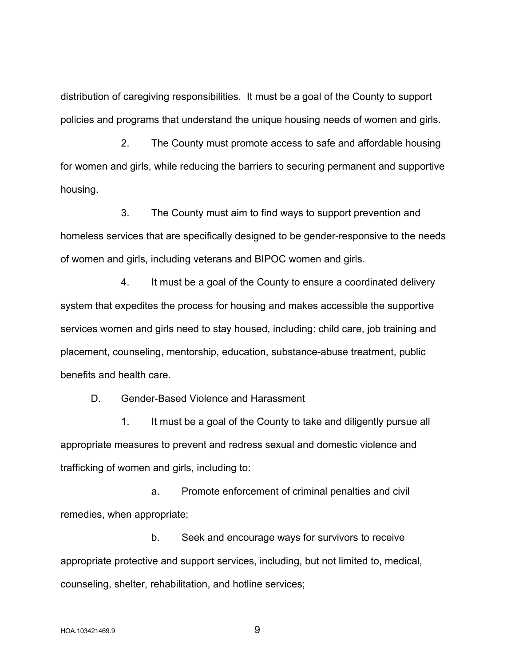distribution of caregiving responsibilities. It must be a goal of the County to support policies and programs that understand the unique housing needs of women and girls.

2. The County must promote access to safe and affordable housing for women and girls, while reducing the barriers to securing permanent and supportive housing.

3. The County must aim to find ways to support prevention and homeless services that are specifically designed to be gender-responsive to the needs of women and girls, including veterans and BIPOC women and girls.

4. It must be a goal of the County to ensure a coordinated delivery system that expedites the process for housing and makes accessible the supportive services women and girls need to stay housed, including: child care, job training and placement, counseling, mentorship, education, substance-abuse treatment, public benefits and health care.

D. Gender-Based Violence and Harassment

1. It must be a goal of the County to take and diligently pursue all appropriate measures to prevent and redress sexual and domestic violence and trafficking of women and girls, including to:

a. Promote enforcement of criminal penalties and civil remedies, when appropriate;

b. Seek and encourage ways for survivors to receive appropriate protective and support services, including, but not limited to, medical, counseling, shelter, rehabilitation, and hotline services;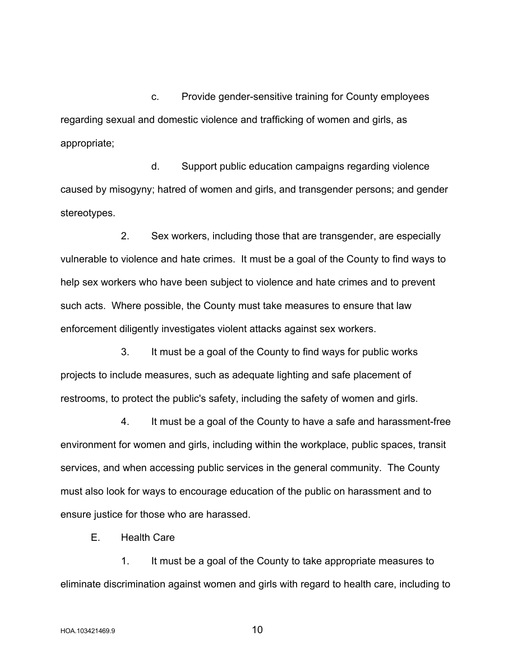c. Provide gender-sensitive training for County employees regarding sexual and domestic violence and trafficking of women and girls, as appropriate;

d. Support public education campaigns regarding violence caused by misogyny; hatred of women and girls, and transgender persons; and gender stereotypes.

2. Sex workers, including those that are transgender, are especially vulnerable to violence and hate crimes. It must be a goal of the County to find ways to help sex workers who have been subject to violence and hate crimes and to prevent such acts. Where possible, the County must take measures to ensure that law enforcement diligently investigates violent attacks against sex workers.

3. It must be a goal of the County to find ways for public works projects to include measures, such as adequate lighting and safe placement of restrooms, to protect the public's safety, including the safety of women and girls.

4. It must be a goal of the County to have a safe and harassment-free environment for women and girls, including within the workplace, public spaces, transit services, and when accessing public services in the general community. The County must also look for ways to encourage education of the public on harassment and to ensure justice for those who are harassed.

E. Health Care

1. It must be a goal of the County to take appropriate measures to eliminate discrimination against women and girls with regard to health care, including to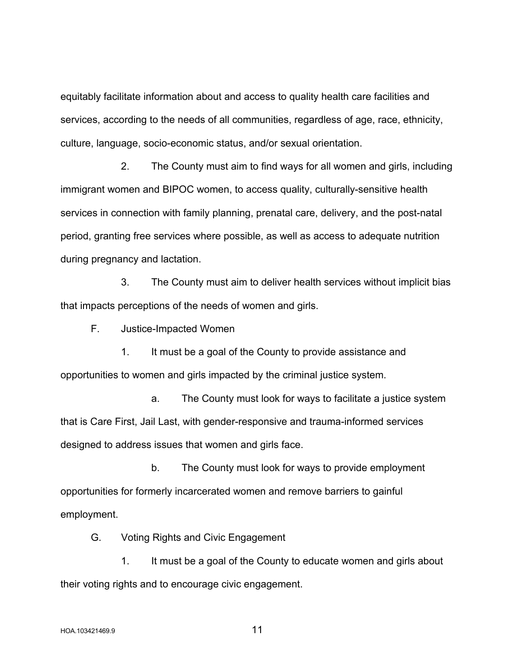equitably facilitate information about and access to quality health care facilities and services, according to the needs of all communities, regardless of age, race, ethnicity, culture, language, socio-economic status, and/or sexual orientation.

2. The County must aim to find ways for all women and girls, including immigrant women and BIPOC women, to access quality, culturally-sensitive health services in connection with family planning, prenatal care, delivery, and the post-natal period, granting free services where possible, as well as access to adequate nutrition during pregnancy and lactation.

3. The County must aim to deliver health services without implicit bias that impacts perceptions of the needs of women and girls.

F. Justice-Impacted Women

1. It must be a goal of the County to provide assistance and opportunities to women and girls impacted by the criminal justice system.

a. The County must look for ways to facilitate a justice system that is Care First, Jail Last, with gender-responsive and trauma-informed services designed to address issues that women and girls face.

b. The County must look for ways to provide employment opportunities for formerly incarcerated women and remove barriers to gainful employment.

G. Voting Rights and Civic Engagement

1. It must be a goal of the County to educate women and girls about their voting rights and to encourage civic engagement.